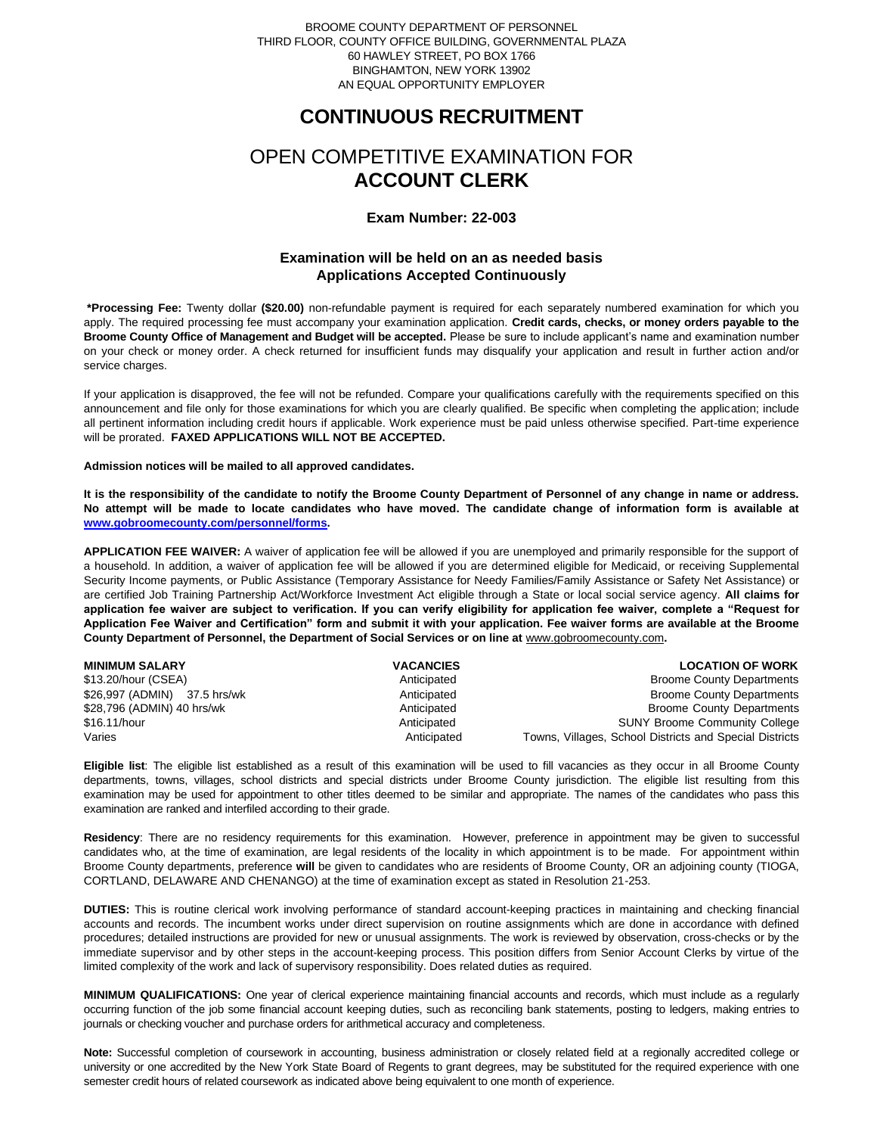## BROOME COUNTY DEPARTMENT OF PERSONNEL THIRD FLOOR, COUNTY OFFICE BUILDING, GOVERNMENTAL PLAZA 60 HAWLEY STREET, PO BOX 1766 BINGHAMTON, NEW YORK 13902 AN EQUAL OPPORTUNITY EMPLOYER

# **CONTINUOUS RECRUITMENT**

# OPEN COMPETITIVE EXAMINATION FOR **ACCOUNT CLERK**

## **Exam Number: 22-003**

# **Examination will be held on an as needed basis Applications Accepted Continuously**

**\*Processing Fee:** Twenty dollar **(\$20.00)** non-refundable payment is required for each separately numbered examination for which you apply. The required processing fee must accompany your examination application. **Credit cards, checks, or money orders payable to the Broome County Office of Management and Budget will be accepted.** Please be sure to include applicant's name and examination number on your check or money order. A check returned for insufficient funds may disqualify your application and result in further action and/or service charges.

If your application is disapproved, the fee will not be refunded. Compare your qualifications carefully with the requirements specified on this announcement and file only for those examinations for which you are clearly qualified. Be specific when completing the application; include all pertinent information including credit hours if applicable. Work experience must be paid unless otherwise specified. Part-time experience will be prorated. **FAXED APPLICATIONS WILL NOT BE ACCEPTED.** 

### **Admission notices will be mailed to all approved candidates.**

**It is the responsibility of the candidate to notify the Broome County Department of Personnel of any change in name or address. No attempt will be made to locate candidates who have moved. The candidate change of information form is available at [www.gobroomecounty.com/personnel/forms.](http://www.gobroomecounty.com/personnel/forms)** 

**APPLICATION FEE WAIVER:** A waiver of application fee will be allowed if you are unemployed and primarily responsible for the support of a household. In addition, a waiver of application fee will be allowed if you are determined eligible for Medicaid, or receiving Supplemental Security Income payments, or Public Assistance (Temporary Assistance for Needy Families/Family Assistance or Safety Net Assistance) or are certified Job Training Partnership Act/Workforce Investment Act eligible through a State or local social service agency. **All claims for application fee waiver are subject to verification. If you can verify eligibility for application fee waiver, complete a "Request for Application Fee Waiver and Certification" form and submit it with your application. Fee waiver forms are available at the Broome**  County Department of Personnel, the Department of Social Services or on line at www.gobroomecounty.com.

| <b>MINIMUM SALARY</b>        | <b>VACANCIES</b> | <b>LOCATION OF WORK</b>                                 |
|------------------------------|------------------|---------------------------------------------------------|
| \$13.20/hour (CSEA)          | Anticipated      | <b>Broome County Departments</b>                        |
| \$26,997 (ADMIN) 37.5 hrs/wk | Anticipated      | <b>Broome County Departments</b>                        |
| \$28,796 (ADMIN) 40 hrs/wk   | Anticipated      | <b>Broome County Departments</b>                        |
| \$16.11/hour                 | Anticipated      | <b>SUNY Broome Community College</b>                    |
| Varies                       | Anticipated      | Towns, Villages, School Districts and Special Districts |

**Eligible list**: The eligible list established as a result of this examination will be used to fill vacancies as they occur in all Broome County departments, towns, villages, school districts and special districts under Broome County jurisdiction. The eligible list resulting from this examination may be used for appointment to other titles deemed to be similar and appropriate. The names of the candidates who pass this examination are ranked and interfiled according to their grade.

**Residency**: There are no residency requirements for this examination. However, preference in appointment may be given to successful candidates who, at the time of examination, are legal residents of the locality in which appointment is to be made. For appointment within Broome County departments, preference **will** be given to candidates who are residents of Broome County, OR an adjoining county (TIOGA, CORTLAND, DELAWARE AND CHENANGO) at the time of examination except as stated in Resolution 21-253.

**DUTIES:** This is routine clerical work involving performance of standard account-keeping practices in maintaining and checking financial accounts and records. The incumbent works under direct supervision on routine assignments which are done in accordance with defined procedures; detailed instructions are provided for new or unusual assignments. The work is reviewed by observation, cross-checks or by the immediate supervisor and by other steps in the account-keeping process. This position differs from Senior Account Clerks by virtue of the limited complexity of the work and lack of supervisory responsibility. Does related duties as required.

**MINIMUM QUALIFICATIONS:** One year of clerical experience maintaining financial accounts and records, which must include as a regularly occurring function of the job some financial account keeping duties, such as reconciling bank statements, posting to ledgers, making entries to journals or checking voucher and purchase orders for arithmetical accuracy and completeness.

**Note:** Successful completion of coursework in accounting, business administration or closely related field at a regionally accredited college or university or one accredited by the New York State Board of Regents to grant degrees, may be substituted for the required experience with one semester credit hours of related coursework as indicated above being equivalent to one month of experience.